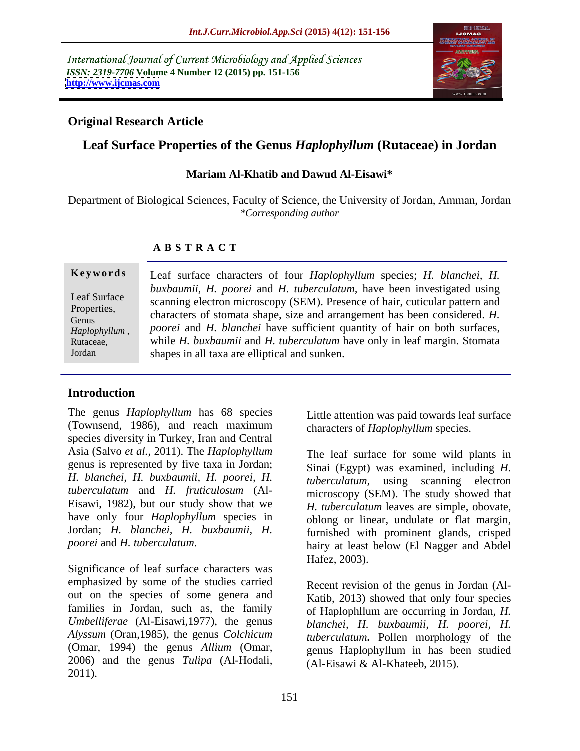International Journal of Current Microbiology and Applied Sciences *ISSN: 2319-7706* **Volume 4 Number 12 (2015) pp. 151-156 <http://www.ijcmas.com>**



# **Original Research Article**

# **Leaf Surface Properties of the Genus** *Haplophyllum* **(Rutaceae) in Jordan**

### **Mariam Al-Khatib and Dawud Al-Eisawi\***

Department of Biological Sciences, Faculty of Science, the University of Jordan, Amman, Jordan *\*Corresponding author*

### **A B S T R A C T**

Jordan

**Keywords** Leaf surface characters of four *Haplophyllum* species; *H. blanchei, H. buxbaumii*, *H. poorei* and *H. tuberculatum,* have been investigated using Leaf Surface<br>
Scanning electron microscopy (SEM). Presence of hair, cuticular pattern and Properties,<br>Cleanus characters of stomata shape, size and arrangement has been considered. *H*. *Poorei* and *H. blanchei* have sufficient quantity of hair on both surfaces, *Hanlonhyllum poorei* and *H. blanchei* have sufficient quantity of hair on both surfaces, *Haplophyllum*, *pooret* and *H. blancnet* nave surficient quantity of nair on both surfaces, while *H. buxbaumii* and *H. tuberculatum* have only in leaf margin. Stomata shapes in all taxa are elliptical and sunken.

# **Introduction**

The genus *Haplophyllum* has 68 species (Townsend, 1986), and reach maximum species diversity in Turkey, Iran and Central Asia (Salvo *et al.*, 2011). The *Haplophyllum* genus is represented by five taxa in Jordan; *H. blanchei, H. buxbaumii, H. poorei, H. tuberculatum* and *H. fruticulosum* (Al- Eisawi, 1982), but our study show that we have only four *Haplophyllum* species in

Significance of leaf surface characters was emphasized by some of the studies carried out on the species of some genera and families in Jordan, such as, the family *Umbelliferae* (Al-Eisawi,1977), the genus *Alyssum* (Oran,1985), the genus *Colchicum* (Omar, 1994) the genus *Allium* (Omar, genus Haplophyllum in has been studied 2006) and the genus *Tulipa* (Al-Hodali, 2011).

Little attention was paid towards leaf surface characters of *Haplophyllum* species.

Jordan; *H. blanchei, H. buxbaumii, H.* furnished with prominent glands, crisped *poorei* and *H. tuberculatum*. hairy at least below (El Nagger and Abdel The leaf surface for some wild plants in Sinai (Egypt) was examined, including *H. tuberculatum,* using scanning electron microscopy (SEM). The study showed that *H. tuberculatum* leaves are simple, obovate, oblong or linear, undulate or flat margin, Hafez, 2003).

> Recent revision of the genus in Jordan (Al- Katib, 2013) showed that only four species of Haplophllum are occurring in Jordan, *H. blanchei, H. buxbaumii, H. poorei, H. tuberculatum***.** Pollen morphology of the (Al-Eisawi & Al-Khateeb, 2015).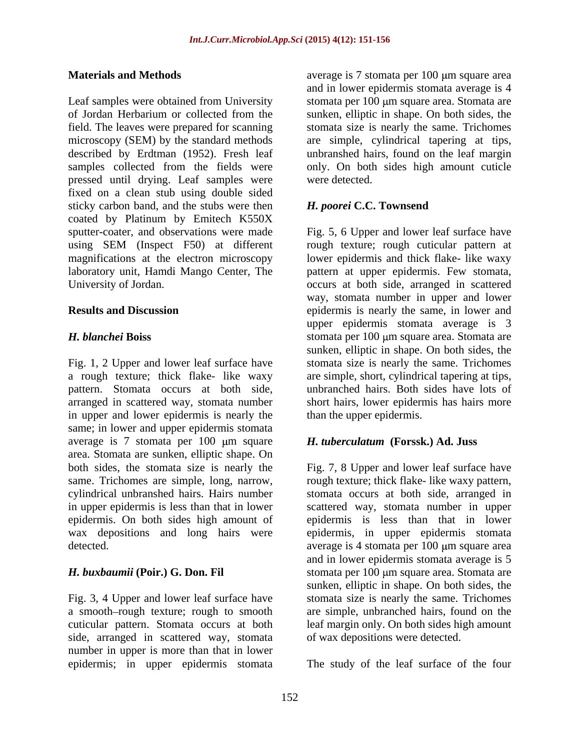Leaf samples were obtained from University stomata per 100 µm square area. Stomata are of Jordan Herbarium or collected from the sunken, elliptic in shape. On both sides, the field. The leaves were prepared for scanning stomata size is nearly the same. Trichomes microscopy (SEM) by the standard methods<br>described by Erdtman (1952). Fresh leaf described by Erdtman (1952). Fresh leaf unbranshed hairs, found on the leaf margin samples collected from the fields were only. On both sides high amount cuticle pressed until drying. Leaf samples were fixed on a clean stub using double sided sticky carbon band, and the stubs were then **H.** poorei C.C. Townsend coated by Platinum by Emitech K550X sputter-coater, and observations were made Fig. 5, 6 Upper and lower leaf surface have using SEM (Inspect F50) at different<br>magnifications at the electron microscopy magnifications at the electron microscopy lower epidermis and thick flake- like waxy laboratory unit, Hamdi Mango Center, The pattern at upper epidermis. Few stomata, University of Jordan. The contract of the section of Jordan scattered of the section of the section of the section of the section of the section of the section of the section of the section of the section of the section of

Fig. 1, 2 Upper and lower leaf surface have stomata size is nearly the same. Trichomes a rough texture; thick flake- like waxy are simple, short, cylindrical tapering at tips, pattern. Stomata occurs at both side, unbranched hairs. Both sides have lots of arranged in scattered way, stomata number in upper and lower epidermis is nearly the same; in lower and upper epidermis stomata average is 7 stomata per 100  $\mu$ m square *H. tuberculatum* (Forssk.) Ad. Juss area. Stomata are sunken, elliptic shape. On both sides, the stomata size is nearly the Fig. 7, 8 Upper and lower leaf surface have same. Trichomes are simple, long, narrow, rough texture; thick flake- like waxy pattern, cylindrical unbranshed hairs. Hairs number stomata occurs at both side, arranged in in upper epidermis is less than that in lower scattered way, stomata number in upper epidermis. On both sides high amount of epidermis is less than that in lower wax depositions and long hairs were epidermis, in upper epidermis stomata

Fig. 3, 4 Upper and lower leaf surface have<br>a smooth-rough texture; rough to smooth side, arranged in scattered way, stomata number in upper is more than that in lower epidermis; in upper epidermis stomata

**Materials and Methods** average is 7 stomata per 100 m square area and in lower epidermis stomata average is 4 are simple, cylindrical tapering at tips, were detected.

## *H. poorei* **C.C. Townsend**

**Results and Discussion** epidermis is nearly the same, in lower and *H. blanchei* Boiss stomata per 100 µm square area. Stomata are rough texture; rough cuticular pattern at way, stomata number in upper and lower upper epidermis stomata average is 3 sunken, elliptic in shape. On both sides, the short hairs, lower epidermis has hairs more than the upper epidermis.

## *H. tuberculatum* **(Forssk.) Ad. Juss**

detected. The subset of a verage is 4 stomata per 100 µm square area *H. buxbaumii* **(Poir.) G. Don. Fil** stomata per 100 μm square area. Stomata are a smooth–rough texture; rough to smooth are simple, unbranched hairs, found on the cuticular pattern. Stomata occurs at both leaf margin only. On both sides high amount and in lower epidermis stomata average is 5 sunken, elliptic in shape. On both sides, the stomata size is nearly the same. Trichomes of wax depositions were detected.

The study of the leaf surface of the four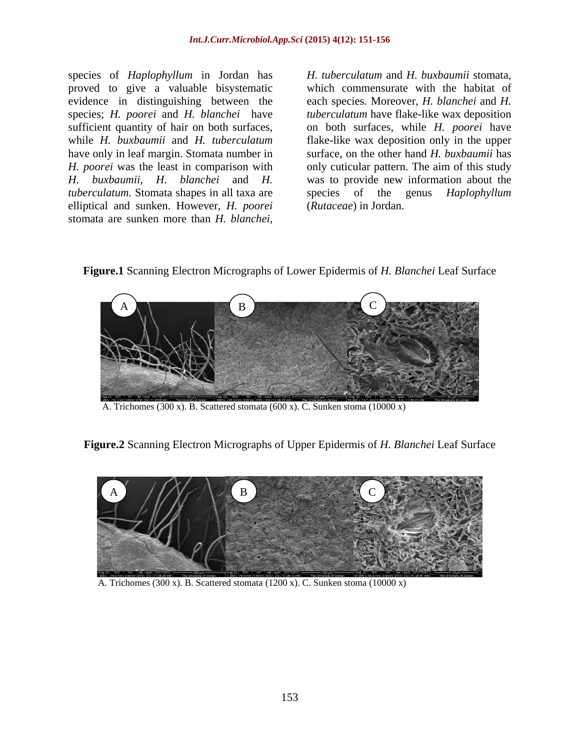species of *Haplophyllum* in Jordan has H. tuberculatum and H. buxbaumii stomata, proved to give a valuable bisystematic which commensurate with the habitat of *H. poorei* was the least in comparison with *tuberculatum.* Stomata shapes in all taxa are species of the genus *Haplophyllum* elliptical and sunken. However, *H. poorei* species of *Haplophyllum* in Jordan has *H. tuberculatum* and *H. buxbaumii* stomata, proved to give a valuable bisystematic which commensurate with the habitat of evidence in distinguishing between the each species. Moreo

evidence in distinguishing between the each species. Moreover, *H. blanchei* and *H.*  species; *H. poorei* and *H. blanchei* have *tuberculatum* have flake-like wax deposition sufficient quantity of hair on both surfaces, on both surfaces, while*H. poorei* have while *H. buxbaumii* and *H. tuberculatum* flake-like wax deposition only in the upper have only in leaf margin. Stomata number in surface, on the other hand *H. buxbaumii* has *H. buxbaumii, H. blanchei* and *H.*  was to provide new information about the only cuticular pattern. The aim of this study species of the genus *Haplophyllum* (*Rutaceae*) in Jordan.

**Figure.1** Scanning Electron Micrographs of Lower Epidermis of *H. Blanchei* Leaf Surface



A. Trichomes (300 x). B. Scattered stomata (600 x). C. Sunken stoma (10000 x)

**Figure.2** Scanning Electron Micrographs of Upper Epidermis of *H. Blanchei* Leaf Surface



A. Trichomes (300 x). B. Scattered stomata (1200 x). C. Sunken stoma (10000 x)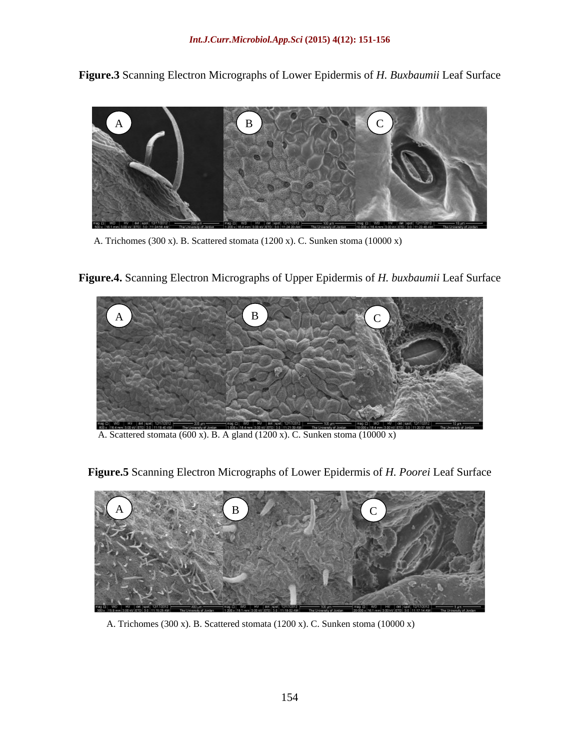**Figure.3** Scanning Electron Micrographs of Lower Epidermis of *H. Buxbaumii* Leaf Surface



A. Trichomes (300 x). B. Scattered stomata (1200 x). C. Sunken stoma (10000 x)





A. Scattered stomata (600 x). B. A gland (1200 x). C. Sunken stoma (10000 x)



**Figure.5** Scanning Electron Micrographs of Lower Epidermis of *H. Poorei* Leaf Surface

A. Trichomes (300 x). B. Scattered stomata (1200 x). C. Sunken stoma (10000 x)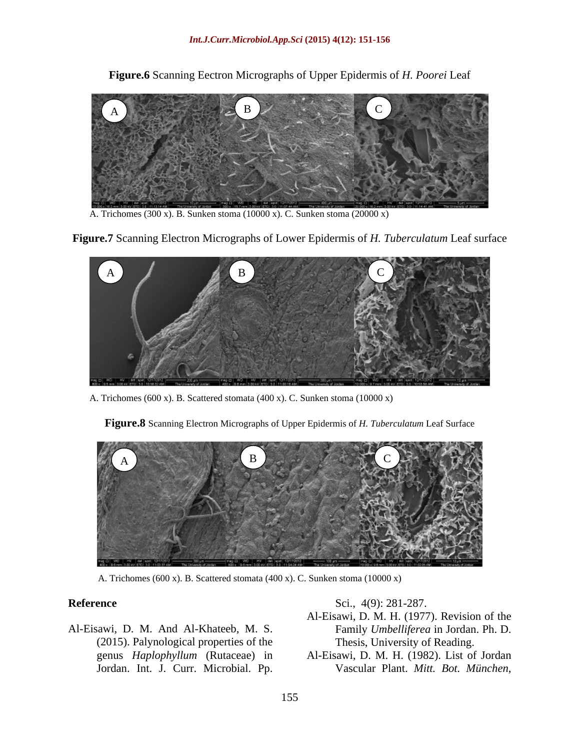**Figure.6** Scanning Eectron Micrographs of Upper Epidermis of *H. Poorei* Leaf

A. Trichomes (300 x). B. Sunken stoma (10000 x). C. Sunken stoma (20000 x)

**Figure.7** Scanning Electron Micrographs of Lower Epidermis of *H. Tuberculatum* Leaf surface



A. Trichomes (600 x). B. Scattered stomata (400 x). C. Sunken stoma (10000 x)

**Figure.8** Scanning Electron Micrographs of Upper Epidermis of *H. Tuberculatum* Leaf Surface



A. Trichomes (600 x). B. Scattered stomata (400 x). C. Sunken stoma (10000 x)

Al-Eisawi, D. M. And Al-Khateeb, M. S. (2015). Palynological properties of the genus *Haplophyllum* (Rutaceae) in Al-Eisawi, D. M. H. (1982). List of Jordan Sci., 4(9): 281-287.<br>
Al-Eisawi, D. M. H. (1977). Revision of the<br>
(2015). Palynological properties of the Family Umbelliferea in Jordan. Ph. D.<br>
(2015). Palynological properties of the Thesis, University of Reading.<br>
Jord

**Reference** Sci., 4(9): 281-287.

- Al-Eisawi, D. M. H. (1977). Revision of the Family *Umbelliferea* in Jordan. Ph. D. Thesis, University of Reading.
-